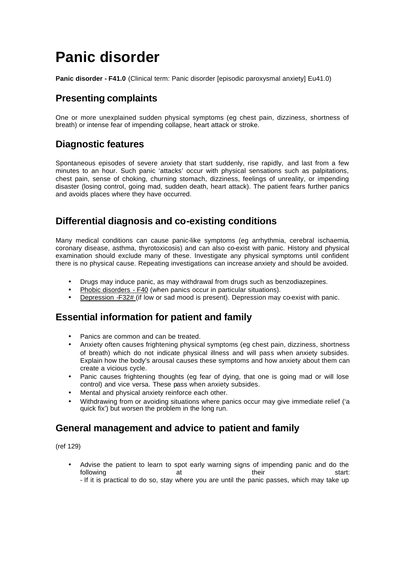# **Panic disorder**

**Panic disorder - F41.0** (Clinical term: Panic disorder [episodic paroxysmal anxiety] Eu41.0)

# **Presenting complaints**

One or more unexplained sudden physical symptoms (eg chest pain, dizziness, shortness of breath) or intense fear of impending collapse, heart attack or stroke.

# **Diagnostic features**

Spontaneous episodes of severe anxiety that start suddenly, rise rapidly, and last from a few minutes to an hour. Such panic 'attacks' occur with physical sensations such as palpitations, chest pain, sense of choking, churning stomach, dizziness, feelings of unreality, or impending disaster (losing control, going mad, sudden death, heart attack). The patient fears further panics and avoids places where they have occurred.

# **Differential diagnosis and co-existing conditions**

Many medical conditions can cause panic-like symptoms (eg arrhythmia, cerebral ischaemia, coronary disease, asthma, thyrotoxicosis) and can also co-exist with panic. History and physical examination should exclude many of these. Investigate any physical symptoms until confident there is no physical cause. Repeating investigations can increase anxiety and should be avoided.

- Drugs may induce panic, as may withdrawal from drugs such as benzodiazepines.
- Phobic disorders F40 (when panics occur in particular situations).
- Depression -F32# (if low or sad mood is present). Depression may co-exist with panic.

# **Essential information for patient and family**

- Panics are common and can be treated.
- Anxiety often causes frightening physical symptoms (eg chest pain, dizziness, shortness of breath) which do not indicate physical illness and will pass when anxiety subsides. Explain how the body's arousal causes these symptoms and how anxiety about them can create a vicious cycle.
- Panic causes frightening thoughts (eg fear of dying, that one is going mad or will lose control) and vice versa. These pass when anxiety subsides.
- Mental and physical anxiety reinforce each other.
- Withdrawing from or avoiding situations where panics occur may give immediate relief ('a quick fix') but worsen the problem in the long run.

### **General management and advice to patient and family**

(ref 129)

• Advise the patient to learn to spot early warning signs of impending panic and do the following at their start: start: their start: - If it is practical to do so, stay where you are until the panic passes, which may take up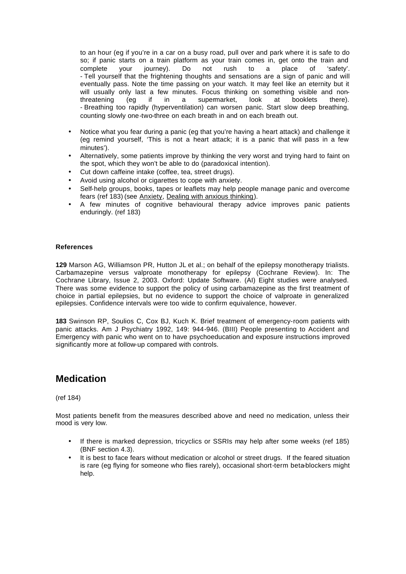to an hour (eg if you're in a car on a busy road, pull over and park where it is safe to do so; if panic starts on a train platform as your train comes in, get onto the train and complete your journey). Do not rush to a place of 'safety'. - Tell yourself that the frightening thoughts and sensations are a sign of panic and will eventually pass. Note the time passing on your watch. It may feel like an eternity but it will usually only last a few minutes. Focus thinking on something visible and nonthreatening (eg if in a supermarket, look at booklets there). - Breathing too rapidly (hyperventilation) can worsen panic. Start slow deep breathing, counting slowly one-two-three on each breath in and on each breath out.

- Notice what you fear during a panic (eg that you're having a heart attack) and challenge it (eg remind yourself, 'This is not a heart attack; it is a panic that will pass in a few minutes').
- Alternatively, some patients improve by thinking the very worst and trying hard to faint on the spot, which they won't be able to do (paradoxical intention).
- Cut down caffeine intake (coffee, tea, street drugs).
- Avoid using alcohol or cigarettes to cope with anxiety.
- Self-help groups, books, tapes or leaflets may help people manage panic and overcome fears (ref 183) (see Anxiety, Dealing with anxious thinking).
- A few minutes of cognitive behavioural therapy advice improves panic patients enduringly. (ref 183)

### **References**

**129** Marson AG, Williamson PR, Hutton JL et al.; on behalf of the epilepsy monotherapy trialists. Carbamazepine versus valproate monotherapy for epilepsy (Cochrane Review). In: The Cochrane Library, Issue 2, 2003. Oxford: Update Software. (AI) Eight studies were analysed. There was some evidence to support the policy of using carbamazepine as the first treatment of choice in partial epilepsies, but no evidence to support the choice of valproate in generalized epilepsies. Confidence intervals were too wide to confirm equivalence, however.

**183** Swinson RP, Soulios C, Cox BJ, Kuch K. Brief treatment of emergency-room patients with panic attacks. Am J Psychiatry 1992, 149: 944-946. (BIII) People presenting to Accident and Emergency with panic who went on to have psychoeducation and exposure instructions improved significantly more at follow-up compared with controls.

### **Medication**

(ref 184)

Most patients benefit from the measures described above and need no medication, unless their mood is very low.

- If there is marked depression, tricyclics or SSRIs may help after some weeks (ref 185) (BNF section 4.3).
- It is best to face fears without medication or alcohol or street drugs. If the feared situation is rare (eg flying for someone who flies rarely), occasional short-term beta-blockers might help.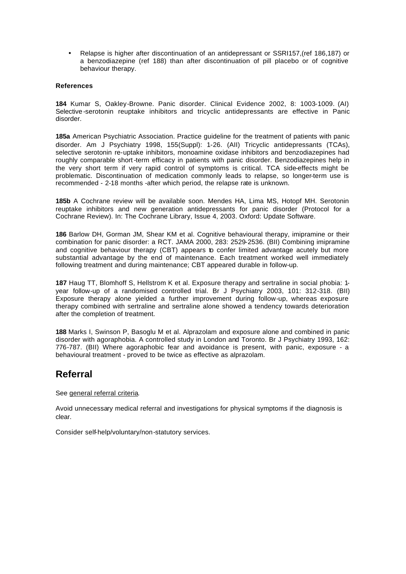• Relapse is higher after discontinuation of an antidepressant or SSRI157,(ref 186,187) or a benzodiazepine (ref 188) than after discontinuation of pill placebo or of cognitive behaviour therapy.

### **References**

**184** Kumar S, Oakley-Browne. Panic disorder. Clinical Evidence 2002, 8: 1003-1009. (AI) Selective -serotonin reuptake inhibitors and tricyclic antidepressants are effective in Panic disorder.

**185a** American Psychiatric Association. Practice guideline for the treatment of patients with panic disorder. Am J Psychiatry 1998, 155(Suppl): 1-26. (AII) Tricyclic antidepressants (TCAs), selective serotonin re-uptake inhibitors, monoamine oxidase inhibitors and benzodiazepines had roughly comparable short-term efficacy in patients with panic disorder. Benzodiazepines help in the very short term if very rapid control of symptoms is critical. TCA side-effects might be problematic. Discontinuation of medication commonly leads to relapse, so longer-term use is recommended - 2-18 months -after which period, the relapse rate is unknown.

**185b** A Cochrane review will be available soon. Mendes HA, Lima MS, Hotopf MH. Serotonin reuptake inhibitors and new generation antidepressants for panic disorder (Protocol for a Cochrane Review). In: The Cochrane Library, Issue 4, 2003. Oxford: Update Software.

**186** Barlow DH, Gorman JM, Shear KM et al. Cognitive behavioural therapy, imipramine or their combination for panic disorder: a RCT. JAMA 2000, 283: 2529-2536. (BII) Combining imipramine and cognitive behaviour therapy (CBT) appears to confer limited advantage acutely but more substantial advantage by the end of maintenance. Each treatment worked well immediately following treatment and during maintenance; CBT appeared durable in follow-up.

**187** Haug TT, Blomhoff S, Hellstrom K et al. Exposure therapy and sertraline in social phobia: 1 year follow-up of a randomised controlled trial. Br J Psychiatry 2003, 101: 312-318. (BII) Exposure therapy alone yielded a further improvement during follow-up, whereas exposure therapy combined with sertraline and sertraline alone showed a tendency towards deterioration after the completion of treatment.

**188** Marks I, Swinson P, Basoglu M et al. Alprazolam and exposure alone and combined in panic disorder with agoraphobia. A controlled study in London and Toronto. Br J Psychiatry 1993, 162: 776-787. (BII) Where agoraphobic fear and avoidance is present, with panic, exposure - a behavioural treatment - proved to be twice as effective as alprazolam.

### **Referral**

See general referral criteria.

Avoid unnecessary medical referral and investigations for physical symptoms if the diagnosis is clear.

Consider self-help/voluntary/non-statutory services.